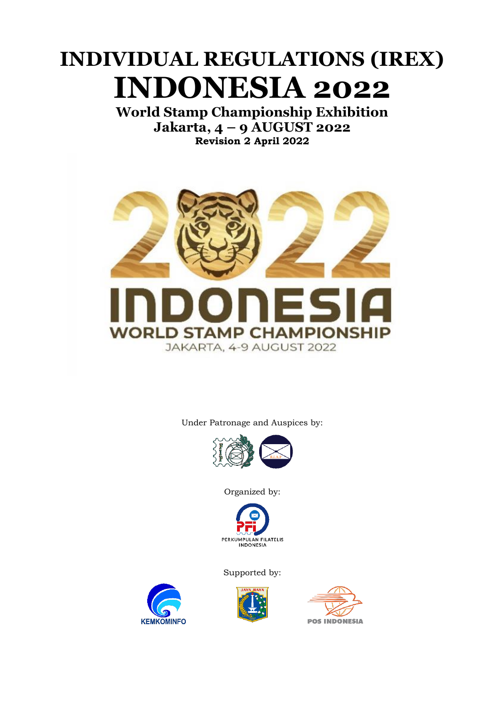# **INDIVIDUAL REGULATIONS (IREX) INDONESIA 2022**

**World Stamp Championship Exhibition Jakarta, 4 – 9 AUGUST 2022 Revision 2 April 2022**



Under Patronage and Auspices by:



Organized by:



Supported by:



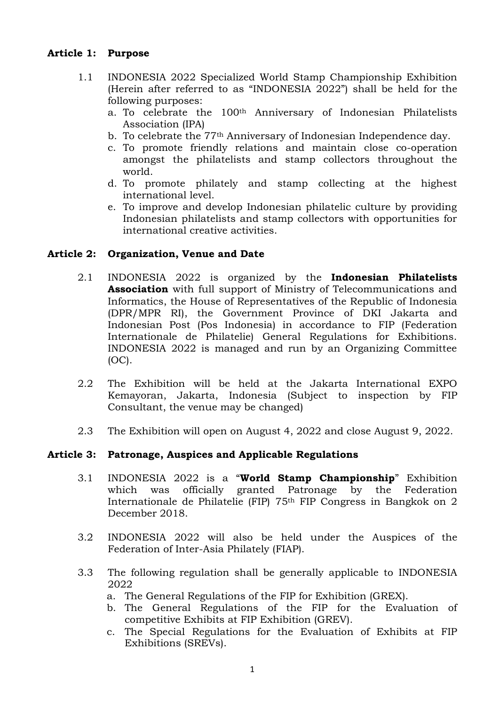#### **Article 1: Purpose**

- 1.1 INDONESIA 2022 Specialized World Stamp Championship Exhibition (Herein after referred to as "INDONESIA 2022") shall be held for the following purposes:
	- a. To celebrate the 100th Anniversary of Indonesian Philatelists Association (IPA)
	- b. To celebrate the 77th Anniversary of Indonesian Independence day.
	- c. To promote friendly relations and maintain close co-operation amongst the philatelists and stamp collectors throughout the world.
	- d. To promote philately and stamp collecting at the highest international level.
	- e. To improve and develop Indonesian philatelic culture by providing Indonesian philatelists and stamp collectors with opportunities for international creative activities.

#### **Article 2: Organization, Venue and Date**

- 2.1 INDONESIA 2022 is organized by the **Indonesian Philatelists Association** with full support of Ministry of Telecommunications and Informatics, the House of Representatives of the Republic of Indonesia (DPR/MPR RI), the Government Province of DKI Jakarta and Indonesian Post (Pos Indonesia) in accordance to FIP (Federation Internationale de Philatelie) General Regulations for Exhibitions. INDONESIA 2022 is managed and run by an Organizing Committee (OC).
- 2.2 The Exhibition will be held at the Jakarta International EXPO Kemayoran, Jakarta, Indonesia (Subject to inspection by FIP Consultant, the venue may be changed)
- 2.3 The Exhibition will open on August 4, 2022 and close August 9, 2022.

#### **Article 3: Patronage, Auspices and Applicable Regulations**

- 3.1 INDONESIA 2022 is a "**World Stamp Championship**" Exhibition which was officially granted Patronage by the Federation Internationale de Philatelie (FIP) 75th FIP Congress in Bangkok on 2 December 2018.
- 3.2 INDONESIA 2022 will also be held under the Auspices of the Federation of Inter-Asia Philately (FIAP).
- 3.3 The following regulation shall be generally applicable to INDONESIA 2022
	- a. The General Regulations of the FIP for Exhibition (GREX).
	- b. The General Regulations of the FIP for the Evaluation of competitive Exhibits at FIP Exhibition (GREV).
	- c. The Special Regulations for the Evaluation of Exhibits at FIP Exhibitions (SREVs).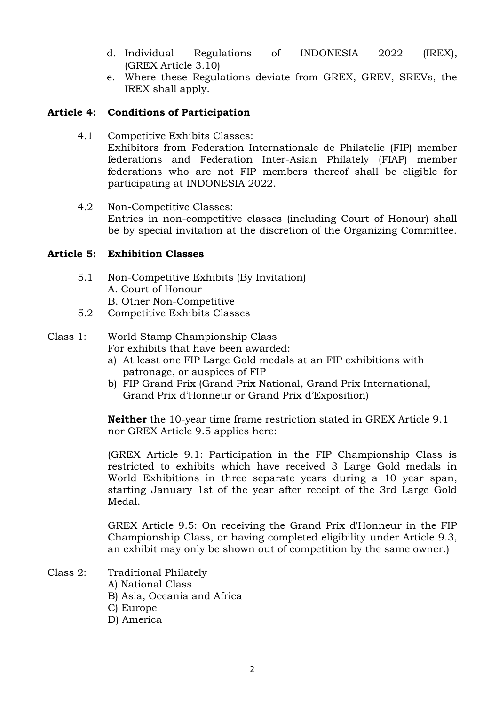- d. Individual Regulations of INDONESIA 2022 (IREX), (GREX Article 3.10)
- e. Where these Regulations deviate from GREX, GREV, SREVs, the IREX shall apply.

#### **Article 4: Conditions of Participation**

- 4.1 Competitive Exhibits Classes: Exhibitors from Federation Internationale de Philatelie (FIP) member federations and Federation Inter-Asian Philately (FIAP) member federations who are not FIP members thereof shall be eligible for participating at INDONESIA 2022.
- 4.2 Non-Competitive Classes: Entries in non-competitive classes (including Court of Honour) shall be by special invitation at the discretion of the Organizing Committee.

#### **Article 5: Exhibition Classes**

- 5.1 Non-Competitive Exhibits (By Invitation) A. Court of Honour B. Other Non-Competitive
- 5.2 Competitive Exhibits Classes

### Class 1: World Stamp Championship Class

- For exhibits that have been awarded:
- a) At least one FIP Large Gold medals at an FIP exhibitions with patronage, or auspices of FIP
- b) FIP Grand Prix (Grand Prix National, Grand Prix International, Grand Prix d'Honneur or Grand Prix d'Exposition)

**Neither** the 10-year time frame restriction stated in GREX Article 9.1 nor GREX Article 9.5 applies here:

(GREX Article 9.1: Participation in the FIP Championship Class is restricted to exhibits which have received 3 Large Gold medals in World Exhibitions in three separate years during a 10 year span, starting January 1st of the year after receipt of the 3rd Large Gold Medal.

GREX Article 9.5: On receiving the Grand Prix d'Honneur in the FIP Championship Class, or having completed eligibility under Article 9.3, an exhibit may only be shown out of competition by the same owner.)

- Class 2: Traditional Philately A) National Class B) Asia, Oceania and Africa
	- C) Europe
	- D) America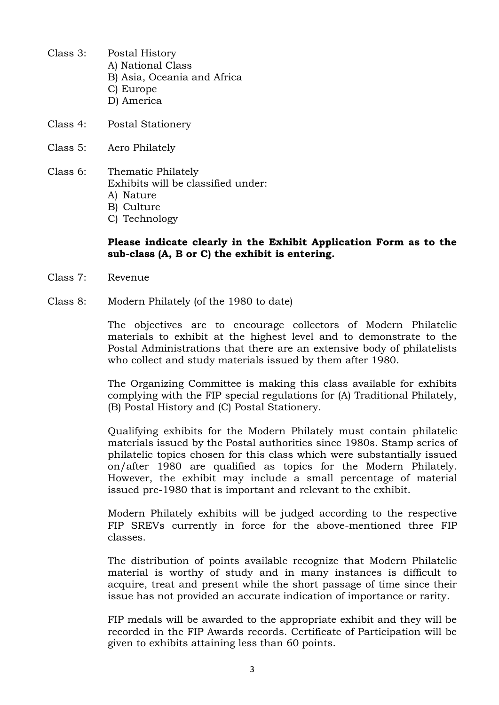- Class 3: Postal History A) National Class B) Asia, Oceania and Africa C) Europe D) America
- Class 4: Postal Stationery
- Class 5: Aero Philately
- Class 6: Thematic Philately Exhibits will be classified under:
	- A) Nature
	- B) Culture
	- C) Technology

#### **Please indicate clearly in the Exhibit Application Form as to the sub-class (A, B or C) the exhibit is entering.**

- Class 7: Revenue
- Class 8: Modern Philately (of the 1980 to date)

The objectives are to encourage collectors of Modern Philatelic materials to exhibit at the highest level and to demonstrate to the Postal Administrations that there are an extensive body of philatelists who collect and study materials issued by them after 1980.

The Organizing Committee is making this class available for exhibits complying with the FIP special regulations for (A) Traditional Philately, (B) Postal History and (C) Postal Stationery.

Qualifying exhibits for the Modern Philately must contain philatelic materials issued by the Postal authorities since 1980s. Stamp series of philatelic topics chosen for this class which were substantially issued on/after 1980 are qualified as topics for the Modern Philately. However, the exhibit may include a small percentage of material issued pre-1980 that is important and relevant to the exhibit.

Modern Philately exhibits will be judged according to the respective FIP SREVs currently in force for the above-mentioned three FIP classes.

The distribution of points available recognize that Modern Philatelic material is worthy of study and in many instances is difficult to acquire, treat and present while the short passage of time since their issue has not provided an accurate indication of importance or rarity.

FIP medals will be awarded to the appropriate exhibit and they will be recorded in the FIP Awards records. Certificate of Participation will be given to exhibits attaining less than 60 points.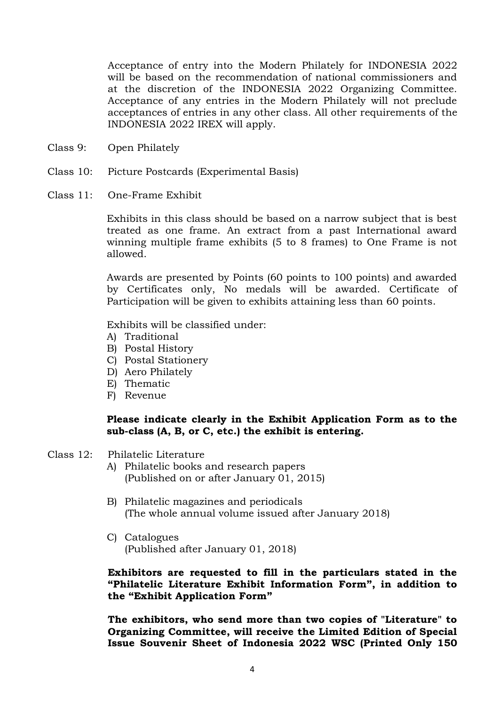Acceptance of entry into the Modern Philately for INDONESIA 2022 will be based on the recommendation of national commissioners and at the discretion of the INDONESIA 2022 Organizing Committee. Acceptance of any entries in the Modern Philately will not preclude acceptances of entries in any other class. All other requirements of the INDONESIA 2022 IREX will apply.

- Class 9: Open Philately
- Class 10: Picture Postcards (Experimental Basis)
- Class 11: One-Frame Exhibit

Exhibits in this class should be based on a narrow subject that is best treated as one frame. An extract from a past International award winning multiple frame exhibits (5 to 8 frames) to One Frame is not allowed.

Awards are presented by Points (60 points to 100 points) and awarded by Certificates only, No medals will be awarded. Certificate of Participation will be given to exhibits attaining less than 60 points.

Exhibits will be classified under:

- A) Traditional
- B) Postal History
- C) Postal Stationery
- D) Aero Philately
- E) Thematic
- F) Revenue

#### **Please indicate clearly in the Exhibit Application Form as to the sub-class (A, B, or C, etc.) the exhibit is entering.**

- Class 12: Philatelic Literature
	- A) Philatelic books and research papers (Published on or after January 01, 2015)
	- B) Philatelic magazines and periodicals (The whole annual volume issued after January 2018)
	- C) Catalogues (Published after January 01, 2018)

**Exhibitors are requested to fill in the particulars stated in the "Philatelic Literature Exhibit Information Form", in addition to the "Exhibit Application Form"**

**The exhibitors, who send more than two copies of "Literature" to Organizing Committee, will receive the Limited Edition of Special Issue Souvenir Sheet of Indonesia 2022 WSC (Printed Only 150**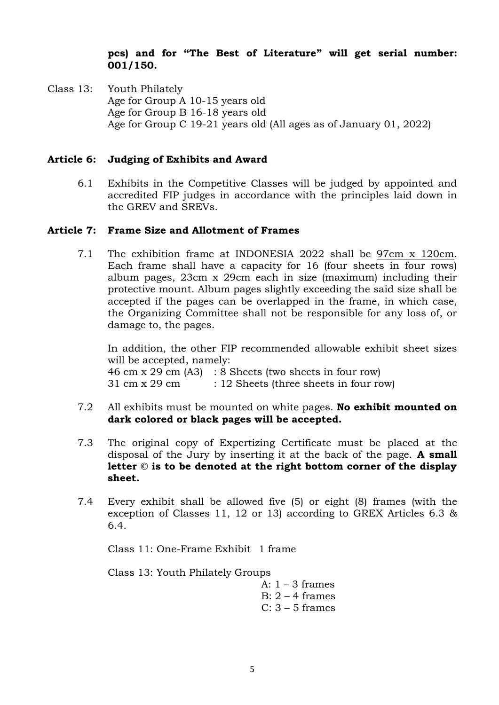#### **pcs) and for "The Best of Literature" will get serial number: 001/150.**

Class 13: Youth Philately Age for Group A 10-15 years old Age for Group B 16-18 years old Age for Group C 19-21 years old (All ages as of January 01, 2022)

#### **Article 6: Judging of Exhibits and Award**

6.1 Exhibits in the Competitive Classes will be judged by appointed and accredited FIP judges in accordance with the principles laid down in the GREV and SREVs.

#### **Article 7: Frame Size and Allotment of Frames**

7.1 The exhibition frame at INDONESIA 2022 shall be 97cm x 120cm. Each frame shall have a capacity for 16 (four sheets in four rows) album pages, 23cm x 29cm each in size (maximum) including their protective mount. Album pages slightly exceeding the said size shall be accepted if the pages can be overlapped in the frame, in which case, the Organizing Committee shall not be responsible for any loss of, or damage to, the pages.

In addition, the other FIP recommended allowable exhibit sheet sizes will be accepted, namely: 46 cm x 29 cm (A3) : 8 Sheets (two sheets in four row)

- 31 cm x 29 cm : 12 Sheets (three sheets in four row)
- 7.2 All exhibits must be mounted on white pages. **No exhibit mounted on dark colored or black pages will be accepted.**
- 7.3 The original copy of Expertizing Certificate must be placed at the disposal of the Jury by inserting it at the back of the page. **A small letter © is to be denoted at the right bottom corner of the display sheet.**
- 7.4 Every exhibit shall be allowed five (5) or eight (8) frames (with the exception of Classes 11, 12 or 13) according to GREX Articles 6.3 & 6.4.

Class 11: One-Frame Exhibit 1 frame

Class 13: Youth Philately Groups

A:  $1 - 3$  frames B:  $2 - 4$  frames  $C: 3 - 5$  frames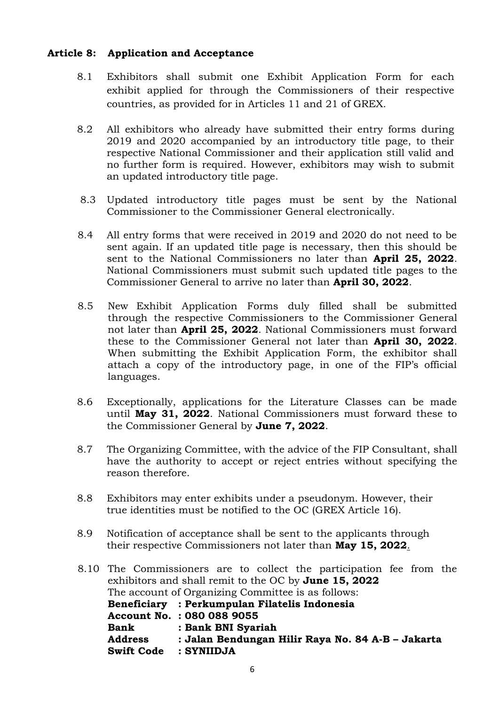#### **Article 8: Application and Acceptance**

- 8.1 Exhibitors shall submit one Exhibit Application Form for each exhibit applied for through the Commissioners of their respective countries, as provided for in Articles 11 and 21 of GREX.
- 8.2 All exhibitors who already have submitted their entry forms during 2019 and 2020 accompanied by an introductory title page, to their respective National Commissioner and their application still valid and no further form is required. However, exhibitors may wish to submit an updated introductory title page.
- 8.3 Updated introductory title pages must be sent by the National Commissioner to the Commissioner General electronically.
- 8.4 All entry forms that were received in 2019 and 2020 do not need to be sent again. If an updated title page is necessary, then this should be sent to the National Commissioners no later than **April 25, 2022**. National Commissioners must submit such updated title pages to the Commissioner General to arrive no later than **April 30, 2022**.
- 8.5 New Exhibit Application Forms duly filled shall be submitted through the respective Commissioners to the Commissioner General not later than **April 25, 2022***.* National Commissioners must forward these to the Commissioner General not later than **April 30, 2022**. When submitting the Exhibit Application Form, the exhibitor shall attach a copy of the introductory page, in one of the FIP's official languages.
- 8.6 Exceptionally, applications for the Literature Classes can be made until **May 31, 2022**. National Commissioners must forward these to the Commissioner General by **June 7, 2022**.
- 8.7 The Organizing Committee, with the advice of the FIP Consultant, shall have the authority to accept or reject entries without specifying the reason therefore.
- 8.8 Exhibitors may enter exhibits under a pseudonym. However, their true identities must be notified to the OC (GREX Article 16).
- 8.9 Notification of acceptance shall be sent to the applicants through their respective Commissioners not later than **May 15, 2022**.
- 8.10 The Commissioners are to collect the participation fee from the exhibitors and shall remit to the OC by **June 15, 2022** The account of Organizing Committee is as follows: **Beneficiary : Perkumpulan Filatelis Indonesia Account No. : 080 088 9055 Bank : Bank BNI Syariah Address : Jalan Bendungan Hilir Raya No. 84 A-B – Jakarta Swift Code : SYNIIDJA**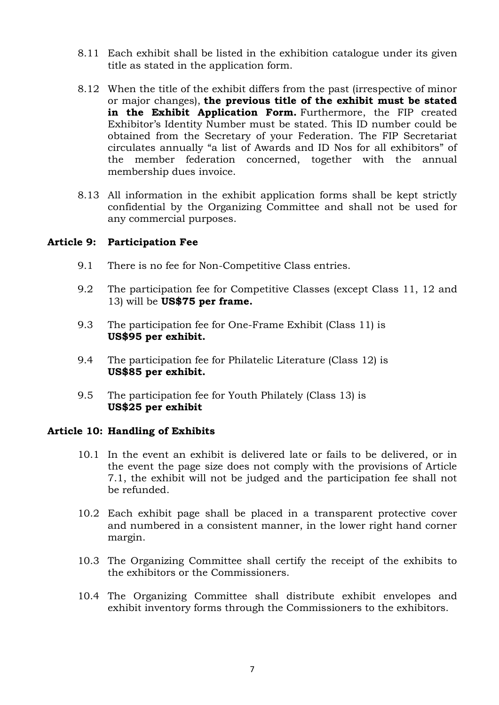- 8.11 Each exhibit shall be listed in the exhibition catalogue under its given title as stated in the application form.
- 8.12 When the title of the exhibit differs from the past (irrespective of minor or major changes), **the previous title of the exhibit must be stated**  in the Exhibit Application Form. Furthermore, the FIP created Exhibitor's Identity Number must be stated. This ID number could be obtained from the Secretary of your Federation. The FIP Secretariat circulates annually "a list of Awards and ID Nos for all exhibitors" of the member federation concerned, together with the annual membership dues invoice.
- 8.13 All information in the exhibit application forms shall be kept strictly confidential by the Organizing Committee and shall not be used for any commercial purposes.

#### **Article 9: Participation Fee**

- 9.1 There is no fee for Non-Competitive Class entries.
- 9.2 The participation fee for Competitive Classes (except Class 11, 12 and 13) will be **US\$75 per frame.**
- 9.3 The participation fee for One-Frame Exhibit (Class 11) is **US\$95 per exhibit.**
- 9.4 The participation fee for Philatelic Literature (Class 12) is **US\$85 per exhibit.**
- 9.5 The participation fee for Youth Philately (Class 13) is **US\$25 per exhibit**

#### **Article 10: Handling of Exhibits**

- 10.1 In the event an exhibit is delivered late or fails to be delivered, or in the event the page size does not comply with the provisions of Article 7.1, the exhibit will not be judged and the participation fee shall not be refunded.
- 10.2 Each exhibit page shall be placed in a transparent protective cover and numbered in a consistent manner, in the lower right hand corner margin.
- 10.3 The Organizing Committee shall certify the receipt of the exhibits to the exhibitors or the Commissioners.
- 10.4 The Organizing Committee shall distribute exhibit envelopes and exhibit inventory forms through the Commissioners to the exhibitors.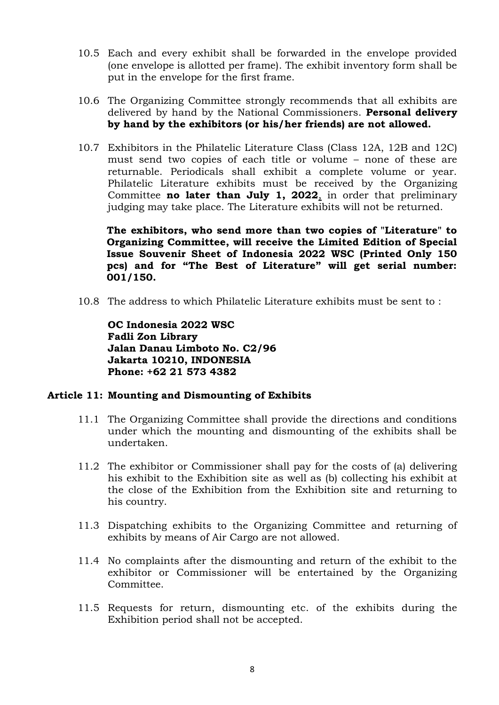- 10.5 Each and every exhibit shall be forwarded in the envelope provided (one envelope is allotted per frame). The exhibit inventory form shall be put in the envelope for the first frame.
- 10.6 The Organizing Committee strongly recommends that all exhibits are delivered by hand by the National Commissioners. **Personal delivery by hand by the exhibitors (or his/her friends) are not allowed.**
- 10.7 Exhibitors in the Philatelic Literature Class (Class 12A, 12B and 12C) must send two copies of each title or volume – none of these are returnable. Periodicals shall exhibit a complete volume or year. Philatelic Literature exhibits must be received by the Organizing Committee **no later than July 1, 2022**, in order that preliminary judging may take place. The Literature exhibits will not be returned.

**The exhibitors, who send more than two copies of "Literature" to Organizing Committee, will receive the Limited Edition of Special Issue Souvenir Sheet of Indonesia 2022 WSC (Printed Only 150 pcs) and for "The Best of Literature" will get serial number: 001/150.**

10.8 The address to which Philatelic Literature exhibits must be sent to :

**OC Indonesia 2022 WSC Fadli Zon Library Jalan Danau Limboto No. C2/96 Jakarta 10210, INDONESIA Phone: +62 21 573 4382**

#### **Article 11: Mounting and Dismounting of Exhibits**

- 11.1 The Organizing Committee shall provide the directions and conditions under which the mounting and dismounting of the exhibits shall be undertaken.
- 11.2 The exhibitor or Commissioner shall pay for the costs of (a) delivering his exhibit to the Exhibition site as well as (b) collecting his exhibit at the close of the Exhibition from the Exhibition site and returning to his country.
- 11.3 Dispatching exhibits to the Organizing Committee and returning of exhibits by means of Air Cargo are not allowed.
- 11.4 No complaints after the dismounting and return of the exhibit to the exhibitor or Commissioner will be entertained by the Organizing Committee.
- 11.5 Requests for return, dismounting etc. of the exhibits during the Exhibition period shall not be accepted.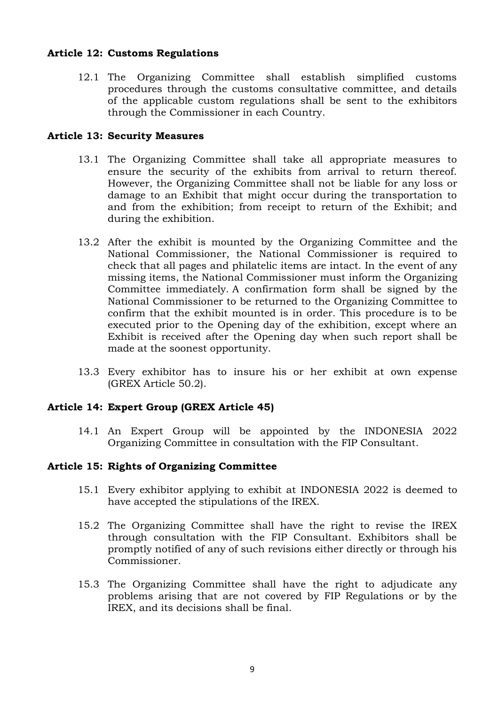#### **Article 12: Customs Regulations**

12.1 The Organizing Committee shall establish simplified customs procedures through the customs consultative committee, and details of the applicable custom regulations shall be sent to the exhibitors through the Commissioner in each Country.

#### **Article 13: Security Measures**

- 13.1 The Organizing Committee shall take all appropriate measures to ensure the security of the exhibits from arrival to return thereof. However, the Organizing Committee shall not be liable for any loss or damage to an Exhibit that might occur during the transportation to and from the exhibition; from receipt to return of the Exhibit; and during the exhibition.
- 13.2 After the exhibit is mounted by the Organizing Committee and the National Commissioner, the National Commissioner is required to check that all pages and philatelic items are intact. In the event of any missing items, the National Commissioner must inform the Organizing Committee immediately. A confirmation form shall be signed by the National Commissioner to be returned to the Organizing Committee to confirm that the exhibit mounted is in order. This procedure is to be executed prior to the Opening day of the exhibition, except where an Exhibit is received after the Opening day when such report shall be made at the soonest opportunity.
- 13.3 Every exhibitor has to insure his or her exhibit at own expense (GREX Article 50.2).

#### **Article 14: Expert Group (GREX Article 45)**

14.1 An Expert Group will be appointed by the INDONESIA 2022 Organizing Committee in consultation with the FIP Consultant.

#### **Article 15: Rights of Organizing Committee**

- 15.1 Every exhibitor applying to exhibit at INDONESIA 2022 is deemed to have accepted the stipulations of the IREX.
- 15.2 The Organizing Committee shall have the right to revise the IREX through consultation with the FIP Consultant. Exhibitors shall be promptly notified of any of such revisions either directly or through his Commissioner.
- 15.3 The Organizing Committee shall have the right to adjudicate any problems arising that are not covered by FIP Regulations or by the IREX, and its decisions shall be final.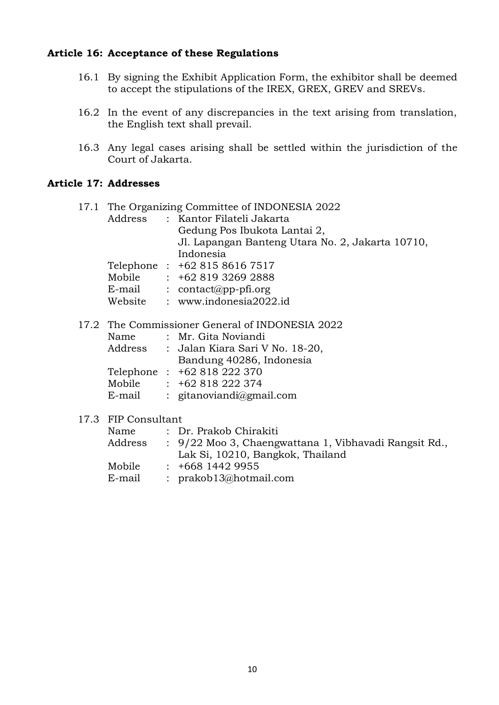#### **Article 16: Acceptance of these Regulations**

- 16.1 By signing the Exhibit Application Form, the exhibitor shall be deemed to accept the stipulations of the IREX, GREX, GREV and SREVs.
- 16.2 In the event of any discrepancies in the text arising from translation, the English text shall prevail.
- 16.3 Any legal cases arising shall be settled within the jurisdiction of the Court of Jakarta.

#### **Article 17: Addresses**

| 17.1 The Organizing Committee of INDONESIA 2022 |  |                                                  |  |  |
|-------------------------------------------------|--|--------------------------------------------------|--|--|
|                                                 |  | Address : Kantor Filateli Jakarta                |  |  |
|                                                 |  | Gedung Pos Ibukota Lantai 2,                     |  |  |
|                                                 |  | Jl. Lapangan Banteng Utara No. 2, Jakarta 10710, |  |  |
|                                                 |  | Indonesia                                        |  |  |
|                                                 |  | Telephone: +62 815 8616 7517                     |  |  |
| Mobile                                          |  | $\div$ +62 819 3269 2888                         |  |  |
| E-mail                                          |  | : $contact(\omega pp\text{-}pfi.org)$            |  |  |
| Website                                         |  | : www.indonesia2022.id                           |  |  |

#### 17.2 The Commissioner General of INDONESIA 2022

| Name    | : Mr. Gita Noviandi             |  |  |
|---------|---------------------------------|--|--|
| Address | : Jalan Kiara Sari V No. 18-20, |  |  |
|         | Bandung 40286, Indonesia        |  |  |
|         | Telephone: +62 818 222 370      |  |  |
| Mobile  | $: +62818222374$                |  |  |
| E-mail  | : gitanoviandi@gmail.com        |  |  |

#### 17.3 FIP Consultant

| Name    | : Dr. Prakob Chirakiti                                |
|---------|-------------------------------------------------------|
| Address | : 9/22 Moo 3, Chaengwattana 1, Vibhavadi Rangsit Rd., |
|         | Lak Si, 10210, Bangkok, Thailand                      |
| Mobile  | $: +66814429955$                                      |
| E-mail  | : $prakob13@hotmail.com$                              |